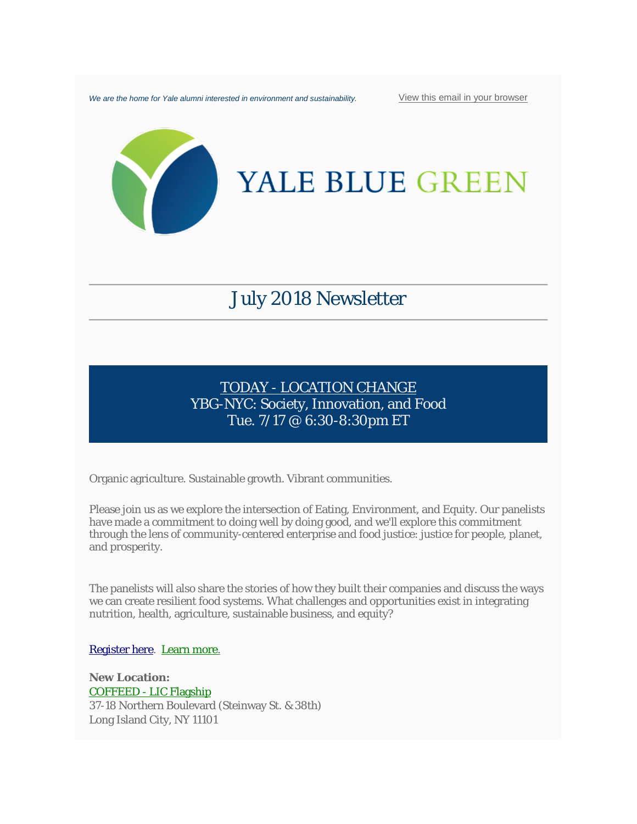We are the home for Yale alumni interested in environment and sustainability. [View this email in your browser](https://mailchi.mp/aff0f6a4e33a/env-impact-investing-sustainability-talks-new-ybg-branches-webinars-1357401?e=be881429c4)



# YALE BLUE GREEN

# July 2018 Newsletter

# TODAY - LOCATION CHANGE YBG-NYC: Society, Innovation, and Food Tue. 7/17 @ 6:30-8:30pm ET

Organic agriculture. Sustainable growth. Vibrant communities.

Please join us as we explore the intersection of Eating, Environment, and Equity. Our panelists have made a commitment to doing well by doing good, and we'll explore this commitment through the lens of community-centered enterprise and food justice: justice for people, planet, and prosperity.

The panelists will also share the stories of how they built their companies and discuss the ways we can create resilient food systems. What challenges and opportunities exist in integrating nutrition, health, agriculture, sustainable business, and equity?

[Register here.](https://www.eventbrite.com/e/society-innovation-and-food-tickets-47220799683) [Learn more.](https://docs.google.com/document/d/1UsoWfeNmE5lnqqhq6kscq3s4JC7v_heSWwJciDRzYDs/edit)

**New Location:**  COFFEED - [LIC Flagship](http://www.coffeednyc.com/lic-flagship/) 37-18 Northern Boulevard (Steinway St. & 38th) Long Island City, NY 11101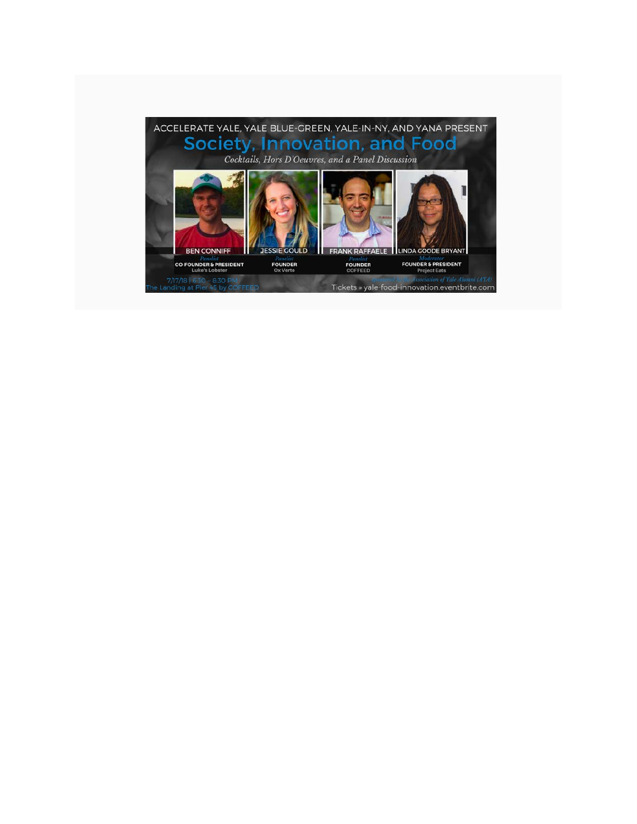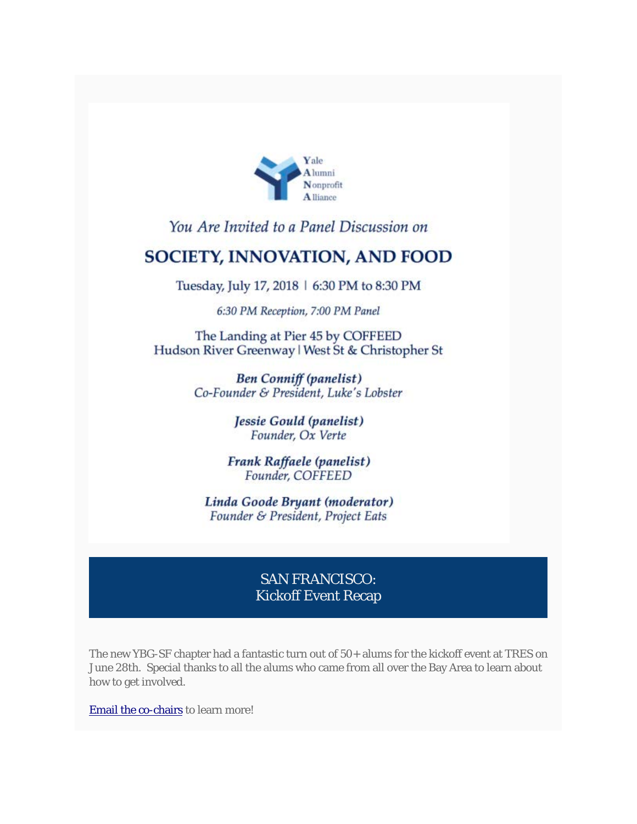

# You Are Invited to a Panel Discussion on

# **SOCIETY, INNOVATION, AND FOOD**

Tuesday, July 17, 2018 | 6:30 PM to 8:30 PM

6:30 PM Reception, 7:00 PM Panel

The Landing at Pier 45 by COFFEED Hudson River Greenway | West St & Christopher St

> **Ben Conniff (panelist)** Co-Founder & President, Luke's Lobster

> > Jessie Gould (panelist) Founder, Ox Verte

Frank Raffaele (panelist) Founder, COFFEED

Linda Goode Bryant (moderator) Founder & President, Project Eats

### SAN FRANCISCO: Kickoff Event Recap

The new YBG-SF chapter had a fantastic turn out of 50+ alums for the kickoff event at TRES on June 28th. Special thanks to all the alums who came from all over the Bay Area to learn about how to get involved.

[Email the co-chairs](mailto:ybgsanfrancisco@gmail.com?subject=I%27m%20interested%20in%20YBG-SF) to learn more!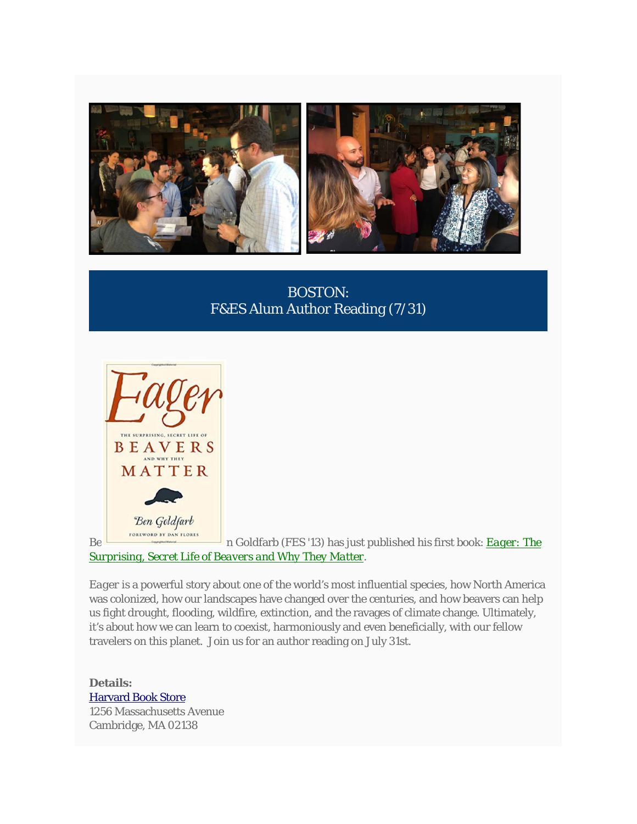

BOSTON: F&ES Alum Author Reading (7/31)



Be **n** Goldfarb (FES '13) has just published his first book: **Eager: The** *[Surprising, Secret Life of Beavers and Why They Matter.](https://www.amazon.com/Eager-Surprising-Secret-Beavers-Matter/dp/160358739X)*

*Eager* is a powerful story about one of the world's most influential species, how North America was colonized, how our landscapes have changed over the centuries, and how beavers can help us fight drought, flooding, wildfire, extinction, and the ravages of climate change. Ultimately, it's about how we can learn to coexist, harmoniously and even beneficially, with our fellow travelers on this planet. Join us for an author reading on July 31st.

**Details:** [Harvard Book Store](http://www.harvard.com/event/ben_goldfarb/) 1256 Massachusetts Avenue Cambridge, MA 02138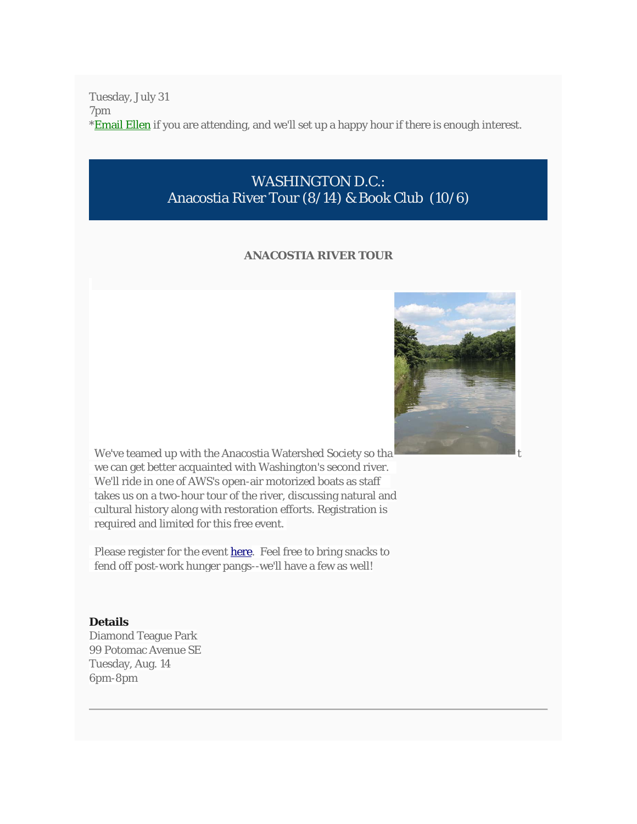Tuesday, July 31 7pm \***Email Ellen** if you are attending, and we'll set up a happy hour if there is enough interest.

## WASHINGTON D.C.: Anacostia River Tour (8/14) & Book Club (10/6)

#### **ANACOSTIA RIVER TOUR**



We've teamed up with the Anacostia Watershed Society so tha we can get better acquainted with Washington's second river. We'll ride in one of AWS's open-air motorized boats as staff takes us on a two-hour tour of the river, discussing natural and cultural history along with restoration efforts. Registration is required and limited for this free event.

Please register for the event [here.](https://anacostiaws.salsalabs.org/81418yalealumniboattour/index.html) Feel free to bring snacks to fend off post-work hunger pangs--we'll have a few as well!

#### **Details**

Diamond Teague Park 99 Potomac Avenue SE Tuesday, Aug. 14 6pm-8pm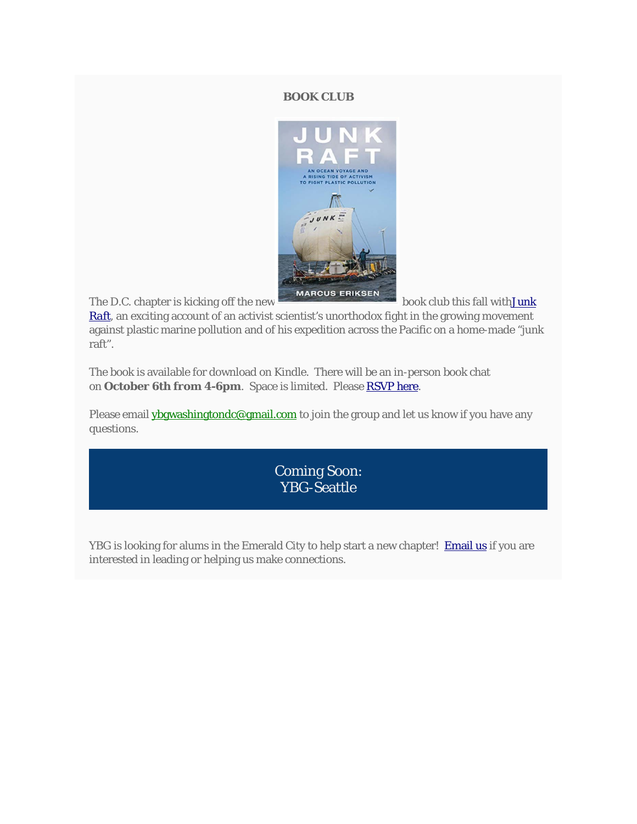#### **BOOK CLUB**



The D.C. chapter is kicking off the new book club this fall with**Junk** 

*[Raft](https://www.amazon.com/dp/B01I85NQ90/ref=rdr_kindle_ext_tmb)*, an exciting account of an activist scientist's unorthodox fight in the growing movement against plastic marine pollution and of his expedition across the Pacific on a home-made "junk raft".

The book is available for download on Kindle. There will be an in-person book chat on **October 6th from 4-6pm**. Space is limited. Please [RSVP here.](https://www.eventbrite.com/e/junk-raft-book-club-with-ybg-dc-tickets-47902430459)

Please email **[ybgwashingtondc@gmail.com](mailto:ybgwashingtondc@gmail.com?subject=Question%20re%3A%20book%20club)** to join the group and let us know if you have any questions.

> Coming Soon: YBG-Seattle

YBG is looking for alums in the Emerald City to help start a new chapter! [Email us](mailto:lauren.graham@aya.yale.edu?subject=YBG-Seattle) if you are interested in leading or helping us make connections.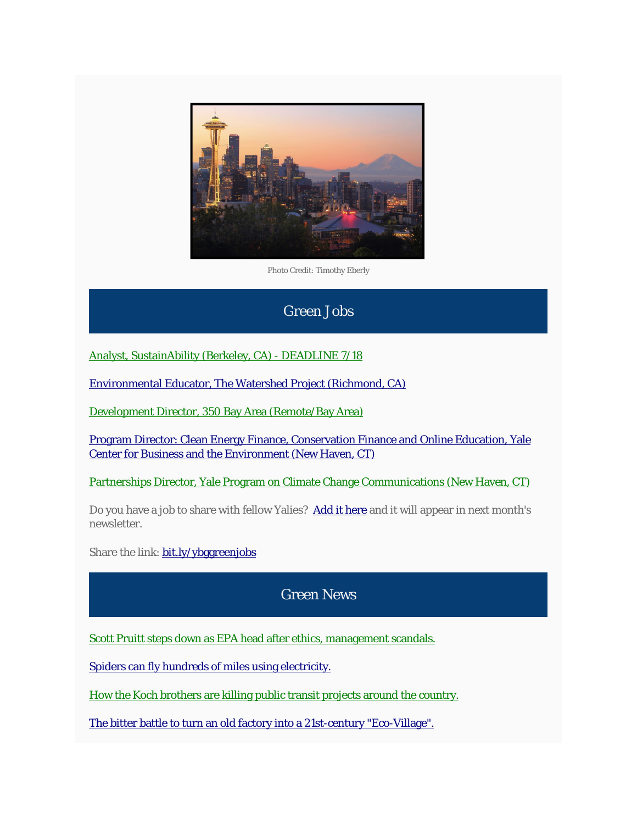

Photo Credit: Timothy Eberly

# Green Jobs

[Analyst, SustainAbility \(Berkeley, CA\) -](https://sustainability.bamboohr.com/jobs/view.php?id=23) DEADLINE 7/18

[Environmental Educator, The Watershed Project \(Richmond, CA\)](http://thewatershedproject.org/green-careers/)

[Development Director, 350 Bay Area \(Remote/Bay Area\)](https://www.idealist.org/en/nonprofit-job/e44483f3d825446791c656708c50f626-development-director-environmentalclimate-change-organization-350-bay-area-oakland)

Program Director: [Clean Energy Finance, Conservation Finance and Online Education, Yale](https://environment.yale.edu/about/jobs/2018-cbey-program-director/)  [Center for Business and the Environment \(New Haven, CT\)](https://environment.yale.edu/about/jobs/2018-cbey-program-director/)

[Partnerships Director, Yale Program on Climate Change Communications \(New Haven, CT\)](https://environment.yale.edu/about/jobs/ypccc-partnerships/)

Do you have a job to share with fellow Yalies? [Add it here](http://bit.ly/ybggreenjobs) and it will appear in next month's newsletter.

Share the link: **[bit.ly/ybggreenjobs](http://bit.ly/ybggreenjobs)** 

# Green News

[Scott Pruitt steps down as EPA head after ethics, management scandals.](https://www.washingtonpost.com/national/health-science/trump-epa-head-steps-down-after-wave-of-ethics-management-scandals/2018/07/05/39f4251a-6813-11e8-bea7-c8eb28bc52b1_story.html?utm_term=.e0727985d534)

[Spiders can fly hundreds of miles using electricity.](https://www.theatlantic.com/science/archive/2018/07/the-electric-flight-of-spiders/564437/)

[How the Koch brothers are killing public transit projects around the country.](https://www.nytimes.com/2018/06/19/climate/koch-brothers-public-transit.html)

[The bitter battle to turn an old factory into a 21st-century "Eco-Village"](https://www.wired.com/story/ford-st-paul-development-housing-cities-yimby-nimby/)[.](https://www.nytimes.com/2018/06/19/climate/koch-brothers-public-transit.html)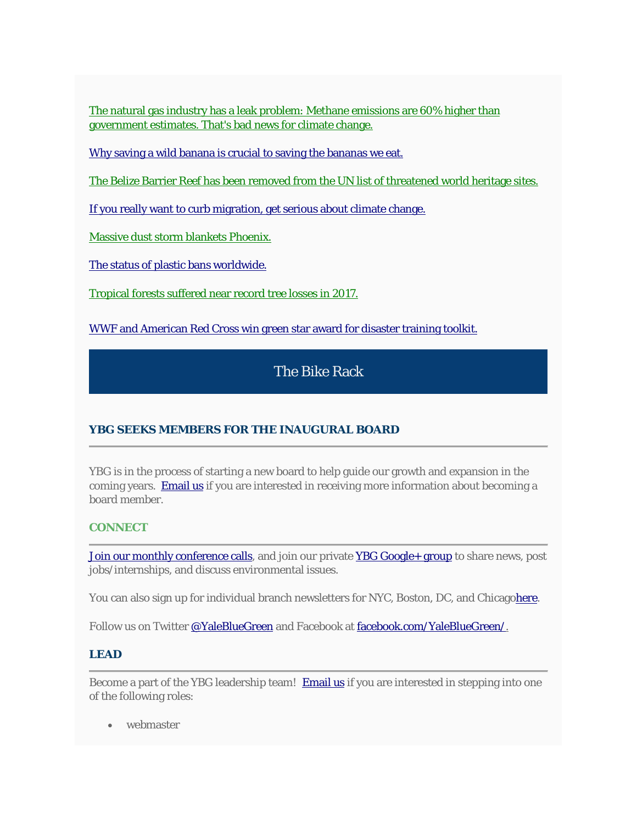[The natural gas industry has a leak problem: Methane emissions are 60% higher than](https://www.nytimes.com/2018/06/21/climate/methane-leaks.html)  [government estimates. That's bad news for climate change.](https://www.nytimes.com/2018/06/21/climate/methane-leaks.html)

[Why saving a wild banana is crucial to saving the bananas we eat.](https://weather.com/science/environment/news/2018-07-06-bananas-shortage-cavandish-gros-michel-panama-disease)

[The Belize Barrier Reef has been removed from the UN list of threatened world heritage sites.](https://www.nytimes.com/2018/06/27/climate/belize-reef-unesco.html)

[If you really want to curb migration, get serious about climate change.](https://www.nytimes.com/2018/06/29/opinion/sunday/immigration-climate-change-trump.html)

[Massive dust storm blankets Phoenix.](https://www.azcentral.com/story/news/local/phoenix-weather/2018/07/12/phoenix-weather-2018-epic-dust-storm-traveled-nearly-200-miles/781444002/)

[The status of plastic bans worldwide.](http://ecooptimism.com/?page_id=5231)

[Tropical forests suffered near record tree losses in 2017.](https://www.nytimes.com/2018/06/27/climate/tropical-trees-deforestation.html)

[WWF and American Red Cross win green star award for disaster training toolkit.](https://www.worldwildlife.org/stories/helping-communities-rebuild-after-disaster)

## The Bike Rack

#### **YBG SEEKS MEMBERS FOR THE INAUGURAL BOARD**

YBG is in the process of starting a new board to help guide our growth and expansion in the coming years. [Email us](mailto:lauren.graham@aya.yale.edu?subject=I%27m%20interested%20in%20the%20YBG%20board) if you are interested in receiving more information about becoming a board member.

#### **CONNECT**

[Join our monthly conference calls,](mailto:lauren.graham@aya.yale.edu?subject=Please%20add%20me%20to%20the%20YBG%20monthly%20call%20list) and join our private [YBG Google+ group](https://plus.google.com/communities/117599429274509004651) to share news, post jobs/internships, and discuss environmental issues.

You can also sign up for individual branch newsletters for NYC, Boston, DC, and Chicag[ohere.](https://yalebluegreen.org/ybg-newsletters/)

Follow us on Twitter [@YaleBlueGreen](https://twitter.com/yalebluegreen?lang=en) and Facebook at [facebook.com/YaleBlueGreen/.](http://www.facebook.com/YaleBlueGreen/)

#### **LEAD**

Become a part of the YBG leadership team! [Email us](mailto:lauren.graham@aya.yale.edu?subject=I%27m%20interested%20in%20a%20position%20with%20YBG) if you are interested in stepping into one of the following roles:

• webmaster